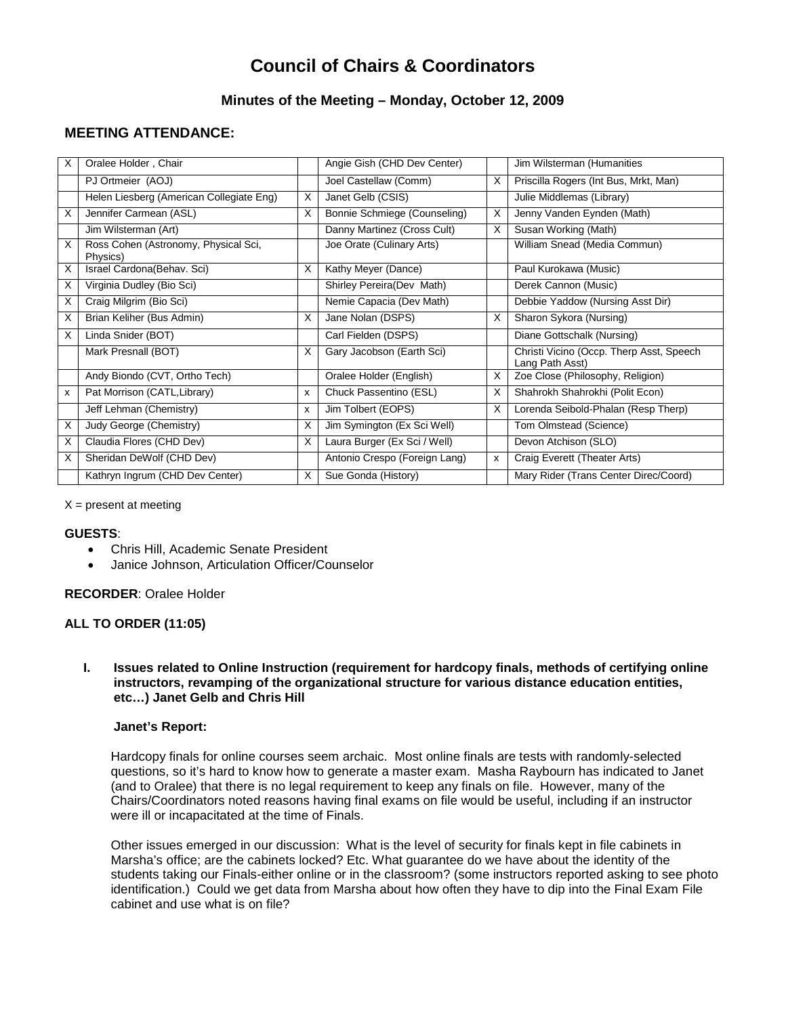# **Council of Chairs & Coordinators**

## **Minutes of the Meeting – Monday, October 12, 2009**

# **MEETING ATTENDANCE:**

| X  | Oralee Holder, Chair                             |          | Angie Gish (CHD Dev Center)   |   | Jim Wilsterman (Humanities                                  |
|----|--------------------------------------------------|----------|-------------------------------|---|-------------------------------------------------------------|
|    | PJ Ortmeier (AOJ)                                |          | Joel Castellaw (Comm)         | X | Priscilla Rogers (Int Bus, Mrkt, Man)                       |
|    | Helen Liesberg (American Collegiate Eng)         | X        | Janet Gelb (CSIS)             |   | Julie Middlemas (Library)                                   |
| X  | Jennifer Carmean (ASL)                           | X        | Bonnie Schmiege (Counseling)  | X | Jenny Vanden Eynden (Math)                                  |
|    | Jim Wilsterman (Art)                             |          | Danny Martinez (Cross Cult)   | X | Susan Working (Math)                                        |
| X  | Ross Cohen (Astronomy, Physical Sci,<br>Physics) |          | Joe Orate (Culinary Arts)     |   | William Snead (Media Commun)                                |
| X  | Israel Cardona (Behav. Sci)                      | $\times$ | Kathy Meyer (Dance)           |   | Paul Kurokawa (Music)                                       |
| X. | Virginia Dudley (Bio Sci)                        |          | Shirley Pereira(Dev Math)     |   | Derek Cannon (Music)                                        |
| X  | Craig Milgrim (Bio Sci)                          |          | Nemie Capacia (Dev Math)      |   | Debbie Yaddow (Nursing Asst Dir)                            |
| X  | Brian Keliher (Bus Admin)                        | X        | Jane Nolan (DSPS)             | X | Sharon Sykora (Nursing)                                     |
| X  | Linda Snider (BOT)                               |          | Carl Fielden (DSPS)           |   | Diane Gottschalk (Nursing)                                  |
|    | Mark Presnall (BOT)                              | X        | Gary Jacobson (Earth Sci)     |   | Christi Vicino (Occp. Therp Asst, Speech<br>Lang Path Asst) |
|    | Andy Biondo (CVT, Ortho Tech)                    |          | Oralee Holder (English)       | X | Zoe Close (Philosophy, Religion)                            |
| x  | Pat Morrison (CATL, Library)                     | X        | Chuck Passentino (ESL)        | X | Shahrokh Shahrokhi (Polit Econ)                             |
|    | Jeff Lehman (Chemistry)                          | X        | Jim Tolbert (EOPS)            | X | Lorenda Seibold-Phalan (Resp Therp)                         |
| X  | Judy George (Chemistry)                          | X        | Jim Symington (Ex Sci Well)   |   | Tom Olmstead (Science)                                      |
| X  | Claudia Flores (CHD Dev)                         | X        | Laura Burger (Ex Sci / Well)  |   | Devon Atchison (SLO)                                        |
| X  | Sheridan DeWolf (CHD Dev)                        |          | Antonio Crespo (Foreign Lang) | x | Craig Everett (Theater Arts)                                |
|    | Kathryn Ingrum (CHD Dev Center)                  | X        | Sue Gonda (History)           |   | Mary Rider (Trans Center Direc/Coord)                       |

 $X =$  present at meeting

#### **GUESTS**:

- Chris Hill, Academic Senate President
- Janice Johnson, Articulation Officer/Counselor

#### **RECORDER**: Oralee Holder

## **ALL TO ORDER (11:05)**

**I. Issues related to Online Instruction (requirement for hardcopy finals, methods of certifying online instructors, revamping of the organizational structure for various distance education entities, etc…) Janet Gelb and Chris Hill**

#### **Janet's Report:**

Hardcopy finals for online courses seem archaic. Most online finals are tests with randomly-selected questions, so it's hard to know how to generate a master exam. Masha Raybourn has indicated to Janet (and to Oralee) that there is no legal requirement to keep any finals on file. However, many of the Chairs/Coordinators noted reasons having final exams on file would be useful, including if an instructor were ill or incapacitated at the time of Finals.

Other issues emerged in our discussion: What is the level of security for finals kept in file cabinets in Marsha's office; are the cabinets locked? Etc. What guarantee do we have about the identity of the students taking our Finals-either online or in the classroom? (some instructors reported asking to see photo identification.) Could we get data from Marsha about how often they have to dip into the Final Exam File cabinet and use what is on file?